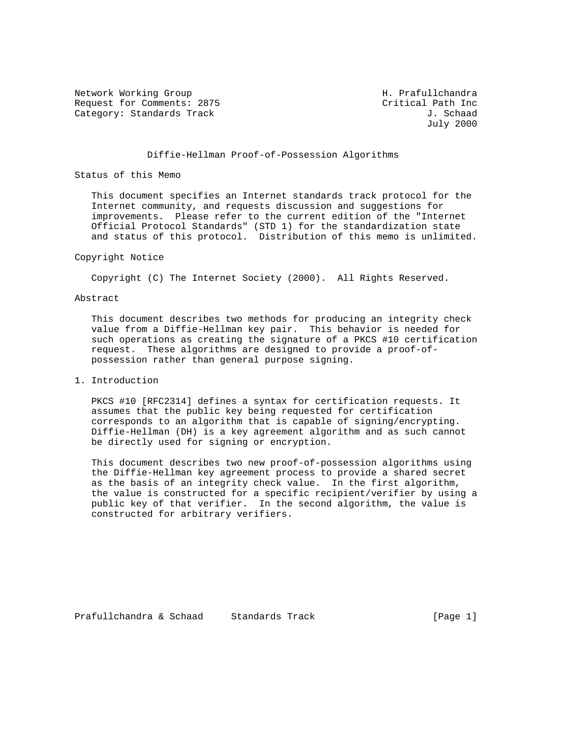Network Working Group Network Working Group H. Prafullchandra Request for Comments: 2875 Critical Path Inc<br>Category: Standards Track Gategory: Standards Track Category: Standards Track

July 2000

# Diffie-Hellman Proof-of-Possession Algorithms

### Status of this Memo

 This document specifies an Internet standards track protocol for the Internet community, and requests discussion and suggestions for improvements. Please refer to the current edition of the "Internet Official Protocol Standards" (STD 1) for the standardization state and status of this protocol. Distribution of this memo is unlimited.

#### Copyright Notice

Copyright (C) The Internet Society (2000). All Rights Reserved.

# Abstract

 This document describes two methods for producing an integrity check value from a Diffie-Hellman key pair. This behavior is needed for such operations as creating the signature of a PKCS #10 certification request. These algorithms are designed to provide a proof-of possession rather than general purpose signing.

# 1. Introduction

 PKCS #10 [RFC2314] defines a syntax for certification requests. It assumes that the public key being requested for certification corresponds to an algorithm that is capable of signing/encrypting. Diffie-Hellman (DH) is a key agreement algorithm and as such cannot be directly used for signing or encryption.

 This document describes two new proof-of-possession algorithms using the Diffie-Hellman key agreement process to provide a shared secret as the basis of an integrity check value. In the first algorithm, the value is constructed for a specific recipient/verifier by using a public key of that verifier. In the second algorithm, the value is constructed for arbitrary verifiers.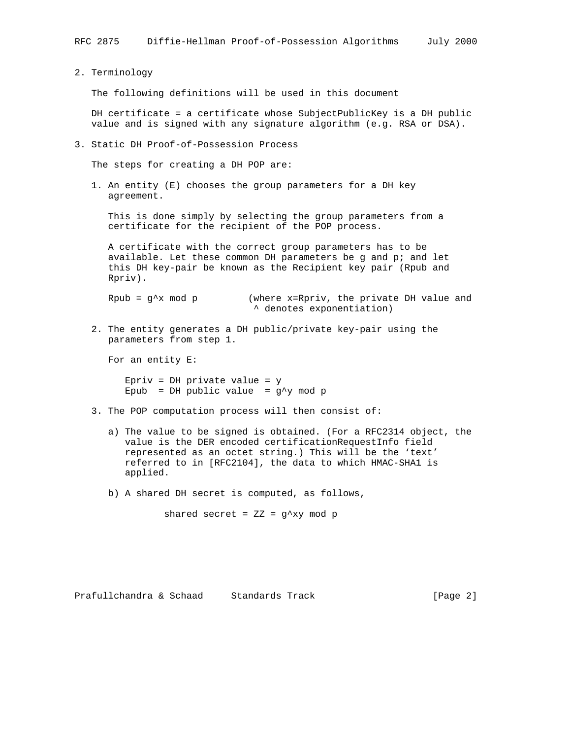2. Terminology

The following definitions will be used in this document

 DH certificate = a certificate whose SubjectPublicKey is a DH public value and is signed with any signature algorithm (e.g. RSA or DSA).

3. Static DH Proof-of-Possession Process

The steps for creating a DH POP are:

 1. An entity (E) chooses the group parameters for a DH key agreement.

 This is done simply by selecting the group parameters from a certificate for the recipient of the POP process.

 A certificate with the correct group parameters has to be available. Let these common DH parameters be g and p; and let this DH key-pair be known as the Recipient key pair (Rpub and Rpriv).

Rpub =  $g^x$ x mod p (where x=Rpriv, the private DH value and ^ denotes exponentiation)

 2. The entity generates a DH public/private key-pair using the parameters from step 1.

For an entity E:

 Epriv = DH private value = y Epub = DH public value =  $g^y$  mod p

- 3. The POP computation process will then consist of:
	- a) The value to be signed is obtained. (For a RFC2314 object, the value is the DER encoded certificationRequestInfo field represented as an octet string.) This will be the 'text' referred to in [RFC2104], the data to which HMAC-SHA1 is applied.
	- b) A shared DH secret is computed, as follows,

shared secret =  $ZZ = g^{\prime}xy \mod p$ 

Prafullchandra & Schaad Standards Track (Page 2)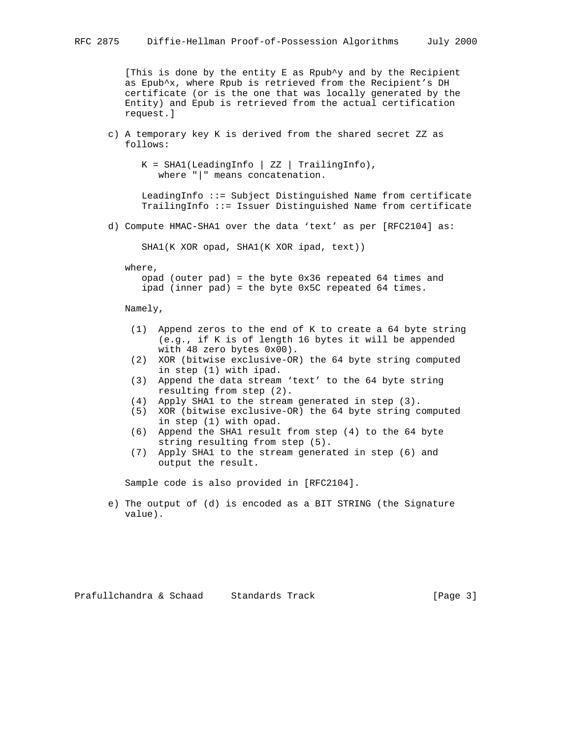[This is done by the entity E as Rpub $\gamma$  and by the Recipient as Epub^x, where Rpub is retrieved from the Recipient's DH certificate (or is the one that was locally generated by the Entity) and Epub is retrieved from the actual certification request.]

 c) A temporary key K is derived from the shared secret ZZ as follows:

```
K = SHAI(LeadingInfo | ZZ | TrailingInfo), where "|" means concatenation.
```
 LeadingInfo ::= Subject Distinguished Name from certificate TrailingInfo ::= Issuer Distinguished Name from certificate

d) Compute HMAC-SHA1 over the data 'text' as per [RFC2104] as:

SHA1(K XOR opad, SHA1(K XOR ipad, text))

where,

 opad (outer pad) = the byte 0x36 repeated 64 times and ipad (inner pad) = the byte 0x5C repeated 64 times.

Namely,

- (1) Append zeros to the end of K to create a 64 byte string (e.g., if K is of length 16 bytes it will be appended with 48 zero bytes 0x00).
- (2) XOR (bitwise exclusive-OR) the 64 byte string computed in step (1) with ipad.
- (3) Append the data stream 'text' to the 64 byte string resulting from step (2).
- (4) Apply SHA1 to the stream generated in step (3).
- (5) XOR (bitwise exclusive-OR) the 64 byte string computed in step (1) with opad.
- (6) Append the SHA1 result from step (4) to the 64 byte string resulting from step (5).
- (7) Apply SHA1 to the stream generated in step (6) and output the result.

Sample code is also provided in [RFC2104].

 e) The output of (d) is encoded as a BIT STRING (the Signature value).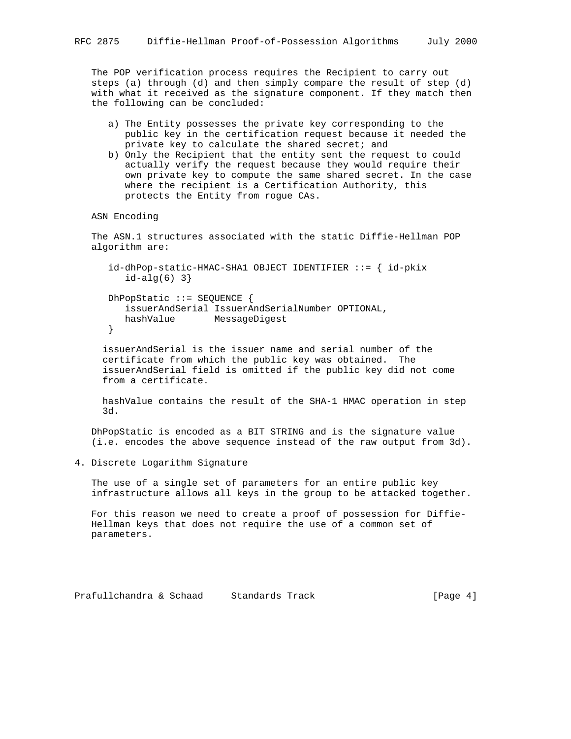The POP verification process requires the Recipient to carry out steps (a) through (d) and then simply compare the result of step (d) with what it received as the signature component. If they match then the following can be concluded:

- a) The Entity possesses the private key corresponding to the public key in the certification request because it needed the private key to calculate the shared secret; and
- b) Only the Recipient that the entity sent the request to could actually verify the request because they would require their own private key to compute the same shared secret. In the case where the recipient is a Certification Authority, this protects the Entity from rogue CAs.

ASN Encoding

 The ASN.1 structures associated with the static Diffie-Hellman POP algorithm are:

```
 id-dhPop-static-HMAC-SHA1 OBJECT IDENTIFIER ::= { id-pkix
   id-alg(6) 3}
 DhPopStatic ::= SEQUENCE {
    issuerAndSerial IssuerAndSerialNumber OPTIONAL,
   hashValue MessageDigest
 }
```
 issuerAndSerial is the issuer name and serial number of the certificate from which the public key was obtained. The issuerAndSerial field is omitted if the public key did not come from a certificate.

 hashValue contains the result of the SHA-1 HMAC operation in step 3d.

 DhPopStatic is encoded as a BIT STRING and is the signature value (i.e. encodes the above sequence instead of the raw output from 3d).

4. Discrete Logarithm Signature

 The use of a single set of parameters for an entire public key infrastructure allows all keys in the group to be attacked together.

 For this reason we need to create a proof of possession for Diffie- Hellman keys that does not require the use of a common set of parameters.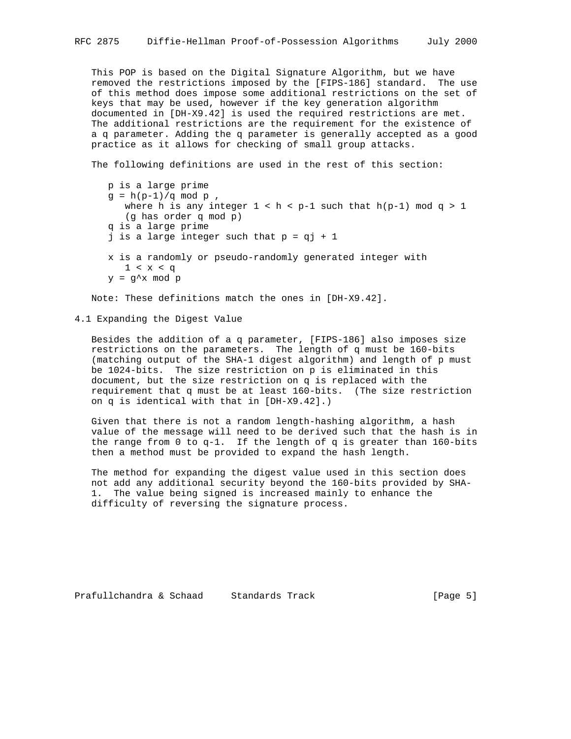This POP is based on the Digital Signature Algorithm, but we have removed the restrictions imposed by the [FIPS-186] standard. The use of this method does impose some additional restrictions on the set of keys that may be used, however if the key generation algorithm documented in [DH-X9.42] is used the required restrictions are met. The additional restrictions are the requirement for the existence of a q parameter. Adding the q parameter is generally accepted as a good practice as it allows for checking of small group attacks.

The following definitions are used in the rest of this section:

```
 p is a large prime
g = h(p-1)/q \mod p,
   where h is any integer 1 < h < p-1 such that h(p-1) \mod q > 1 (g has order q mod p)
 q is a large prime
j is a large integer such that p = qj + 1 x is a randomly or pseudo-randomly generated integer with
   1 < x < qy = g^x mod p
```
Note: These definitions match the ones in [DH-X9.42].

4.1 Expanding the Digest Value

 Besides the addition of a q parameter, [FIPS-186] also imposes size restrictions on the parameters. The length of q must be 160-bits (matching output of the SHA-1 digest algorithm) and length of p must be 1024-bits. The size restriction on p is eliminated in this document, but the size restriction on q is replaced with the requirement that q must be at least 160-bits. (The size restriction on q is identical with that in [DH-X9.42].)

 Given that there is not a random length-hashing algorithm, a hash value of the message will need to be derived such that the hash is in the range from  $0$  to  $q-1$ . If the length of  $q$  is greater than 160-bits then a method must be provided to expand the hash length.

 The method for expanding the digest value used in this section does not add any additional security beyond the 160-bits provided by SHA- 1. The value being signed is increased mainly to enhance the difficulty of reversing the signature process.

Prafullchandra & Schaad Standards Track [Page 5]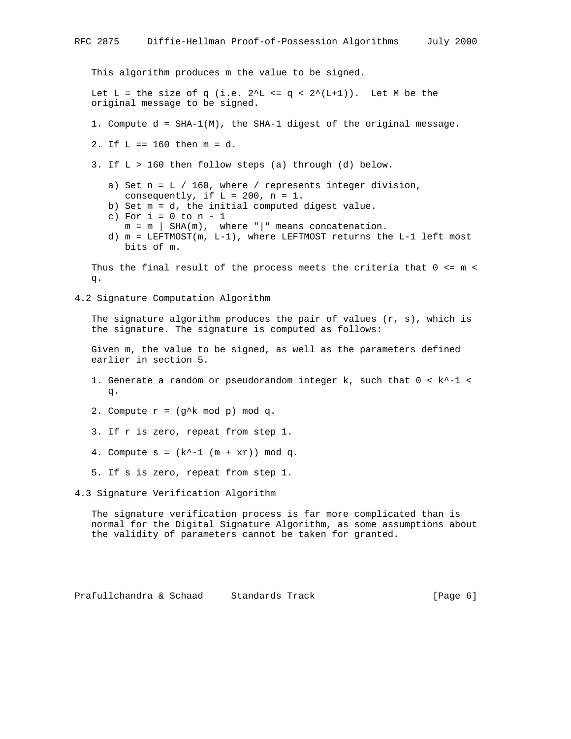This algorithm produces m the value to be signed. Let L = the size of q (i.e.  $2^L = q \lt 2^L(L+1)$ ). Let M be the original message to be signed. 1. Compute d = SHA-1(M), the SHA-1 digest of the original message. 2. If L == 160 then m = d. 3. If L > 160 then follow steps (a) through (d) below. a) Set  $n = L / 160$ , where / represents integer division, consequently, if  $L = 200$ ,  $n = 1$ . b) Set m = d, the initial computed digest value. c) For  $i = 0$  to  $n - 1$  $m = m$  | SHA(m), where "|" means concatenation. d) m = LEFTMOST(m, L-1), where LEFTMOST returns the L-1 left most bits of m. Thus the final result of the process meets the criteria that  $0 \le m \le m$  q. 4.2 Signature Computation Algorithm The signature algorithm produces the pair of values  $(r, s)$ , which is the signature. The signature is computed as follows: Given m, the value to be signed, as well as the parameters defined earlier in section 5. 1. Generate a random or pseudorandom integer k, such that  $0 < k^{\prime -1} <$  q. 2. Compute  $r = (g^k \mod p) \mod q$ . 3. If r is zero, repeat from step 1. 4. Compute  $s = (k^{\wedge}-1 (m + xr))$  mod q. 5. If s is zero, repeat from step 1. 4.3 Signature Verification Algorithm The signature verification process is far more complicated than is

 normal for the Digital Signature Algorithm, as some assumptions about the validity of parameters cannot be taken for granted.

Prafullchandra & Schaad Standards Track (Page 6)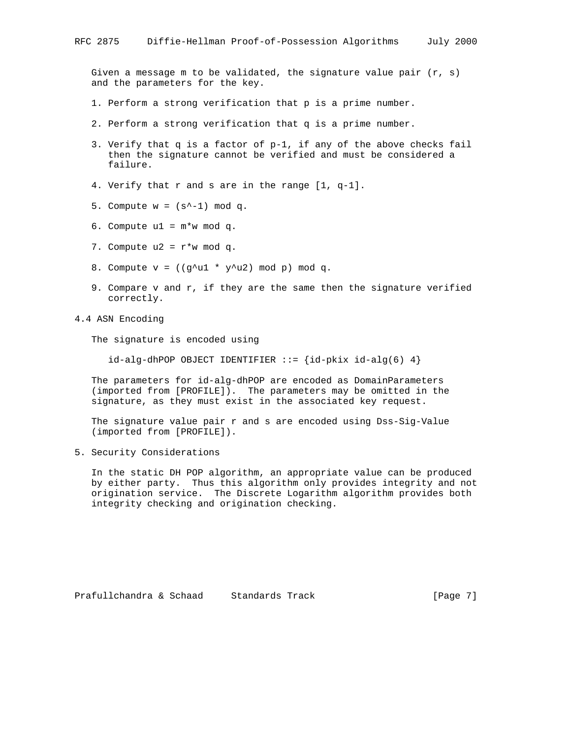Given a message m to be validated, the signature value pair  $(r, s)$ and the parameters for the key.

- 1. Perform a strong verification that p is a prime number.
- 2. Perform a strong verification that q is a prime number.
- 3. Verify that q is a factor of p-1, if any of the above checks fail then the signature cannot be verified and must be considered a failure.
- 4. Verify that r and s are in the range [1, q-1].
- 5. Compute  $w = (s^{\wedge} 1) \mod q$ .
- 6. Compute  $u1 = m*w \mod q$ .
- 7. Compute  $u2 = r * w \mod q$ .
- 8. Compute  $v = ((g^{\lambda}ul * y^{\lambda}u2) \mod p) \mod q$ .
- 9. Compare v and r, if they are the same then the signature verified correctly.
- 4.4 ASN Encoding

The signature is encoded using

 $id$ -alg-dhPOP OBJECT IDENTIFIER ::= { $id$ -pkix  $id$ -alg(6) 4}

 The parameters for id-alg-dhPOP are encoded as DomainParameters (imported from [PROFILE]). The parameters may be omitted in the signature, as they must exist in the associated key request.

 The signature value pair r and s are encoded using Dss-Sig-Value (imported from [PROFILE]).

5. Security Considerations

 In the static DH POP algorithm, an appropriate value can be produced by either party. Thus this algorithm only provides integrity and not origination service. The Discrete Logarithm algorithm provides both integrity checking and origination checking.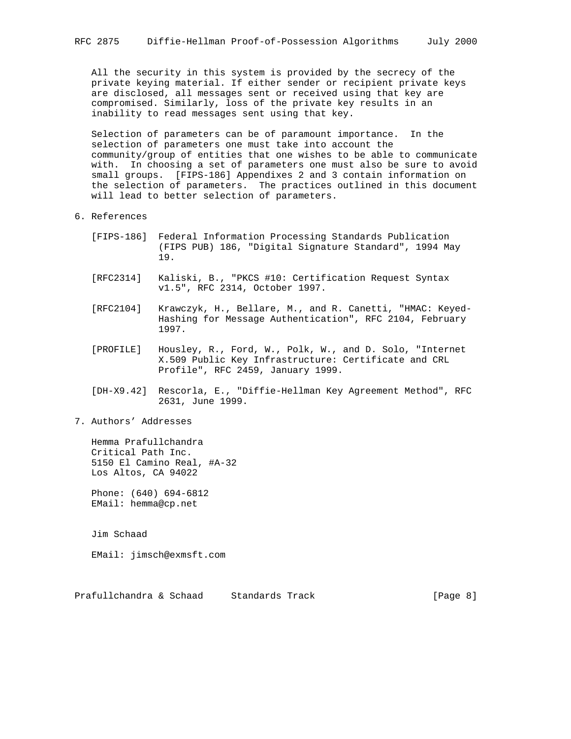All the security in this system is provided by the secrecy of the private keying material. If either sender or recipient private keys are disclosed, all messages sent or received using that key are compromised. Similarly, loss of the private key results in an inability to read messages sent using that key.

 Selection of parameters can be of paramount importance. In the selection of parameters one must take into account the community/group of entities that one wishes to be able to communicate with. In choosing a set of parameters one must also be sure to avoid small groups. [FIPS-186] Appendixes 2 and 3 contain information on the selection of parameters. The practices outlined in this document will lead to better selection of parameters.

- 6. References
	- [FIPS-186] Federal Information Processing Standards Publication (FIPS PUB) 186, "Digital Signature Standard", 1994 May 19.
	- [RFC2314] Kaliski, B., "PKCS #10: Certification Request Syntax v1.5", RFC 2314, October 1997.
	- [RFC2104] Krawczyk, H., Bellare, M., and R. Canetti, "HMAC: Keyed- Hashing for Message Authentication", RFC 2104, February 1997.
	- [PROFILE] Housley, R., Ford, W., Polk, W., and D. Solo, "Internet X.509 Public Key Infrastructure: Certificate and CRL Profile", RFC 2459, January 1999.
	- [DH-X9.42] Rescorla, E., "Diffie-Hellman Key Agreement Method", RFC 2631, June 1999.
- 7. Authors' Addresses

 Hemma Prafullchandra Critical Path Inc. 5150 El Camino Real, #A-32 Los Altos, CA 94022

 Phone: (640) 694-6812 EMail: hemma@cp.net

Jim Schaad

EMail: jimsch@exmsft.com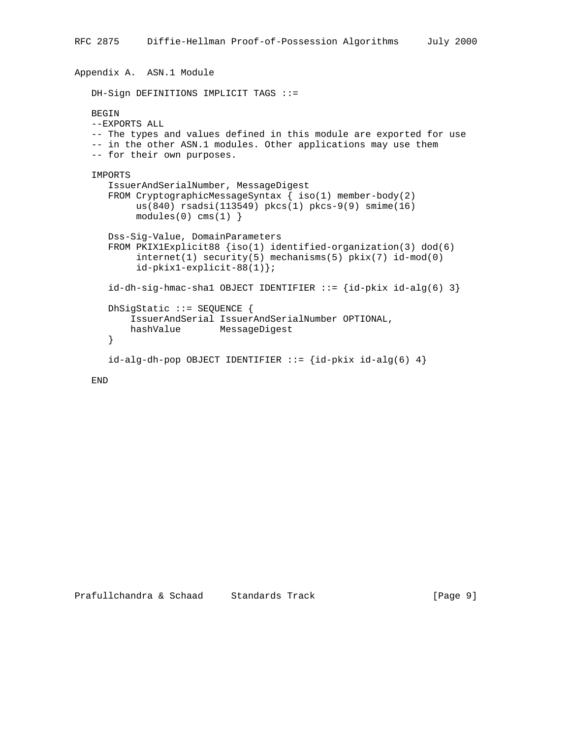```
Appendix A. ASN.1 Module
    DH-Sign DEFINITIONS IMPLICIT TAGS ::=
   BEGIN
    --EXPORTS ALL
    -- The types and values defined in this module are exported for use
   -- in the other ASN.1 modules. Other applications may use them
    -- for their own purposes.
    IMPORTS
       IssuerAndSerialNumber, MessageDigest
       FROM CryptographicMessageSyntax { iso(1) member-body(2)
            us(840) rsadsi(113549) pkcs(1) pkcs-9(9) smime(16)
           modules(0) cms(1) Dss-Sig-Value, DomainParameters
       FROM PKIX1Explicit88 {iso(1) identified-organization(3) dod(6)
            internet(1) security(5) mechanisms(5) pkix(7) id-mod(0)
            id-pkix1-explicit-88(1)};
      id-dh-sig-hmac-shal OBJECT IDENTIFYIER ::=\{id-pkix id-alg(6) 3\} DhSigStatic ::= SEQUENCE {
           IssuerAndSerial IssuerAndSerialNumber OPTIONAL,
           hashValue MessageDigest
       }
      id-alg-dh-pop OBJECT IDENTIFIER ::= {id-pkix id-alg(6) 4}
```

```
 END
```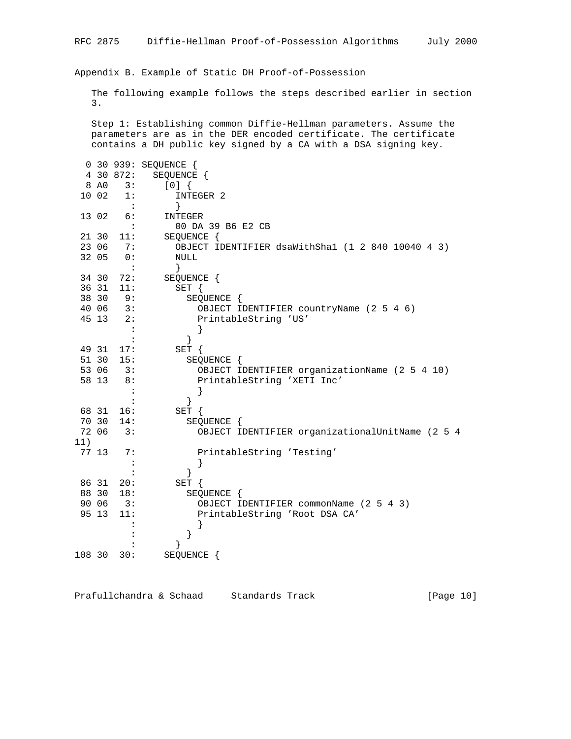Appendix B. Example of Static DH Proof-of-Possession

 The following example follows the steps described earlier in section 3.

 Step 1: Establishing common Diffie-Hellman parameters. Assume the parameters are as in the DER encoded certificate. The certificate contains a DH public key signed by a CA with a DSA signing key.

|        |       |                      | 0 30 939: SEQUENCE {                              |
|--------|-------|----------------------|---------------------------------------------------|
|        |       | 4 30 872:            | SEQUENCE {                                        |
|        | 8 AO  | 3:                   | [0]                                               |
|        | 10 02 | 1:                   | INTEGER 2                                         |
|        |       | $\blacksquare$ :     |                                                   |
|        | 13 02 | 6:                   | INTEGER                                           |
|        |       | $\ddot{\phantom{a}}$ | 00 DA 39 B6 E2 CB                                 |
|        | 21 30 | 11:                  | SEQUENCE {                                        |
|        | 23 06 | 7:                   | OBJECT IDENTIFIER dsaWithSha1 (1 2 840 10040 4 3) |
|        | 32 05 | $\overline{0}$ :     | NULL                                              |
|        |       | $\ddot{\cdot}$       | }                                                 |
|        | 34 30 | 72:                  | SEQUENCE {                                        |
|        | 36 31 | 11:                  | SET {                                             |
|        | 38 30 | 9:                   | SEQUENCE {                                        |
|        | 40 06 | 3:                   | OBJECT IDENTIFIER countryName (2 5 4 6)           |
|        | 45 13 | 2:                   | PrintableString 'US'                              |
|        |       |                      |                                                   |
|        |       | $\ddot{\cdot}$       | }                                                 |
|        | 49 31 | 17:                  | SET {                                             |
|        | 51 30 | 15:                  | SEQUENCE {                                        |
|        | 53 06 | 3:                   | OBJECT IDENTIFIER organizationName (2 5 4 10)     |
|        | 58 13 | 8:                   | PrintableString 'XETI Inc'                        |
|        |       | $\ddot{\cdot}$       |                                                   |
|        |       |                      | ł                                                 |
|        | 68 31 | 16:                  | $SET \{$                                          |
|        | 70 30 | 14:                  | SEQUENCE {                                        |
|        | 72 06 | 3:                   | OBJECT IDENTIFIER organizationalUnitName (2 5 4   |
| 11)    |       |                      |                                                   |
|        | 77 13 | 7:                   | PrintableString 'Testing'                         |
|        |       | $\ddot{\cdot}$       |                                                   |
|        |       |                      | ł                                                 |
|        | 86 31 | 20:                  | $SET \{$                                          |
|        | 88 30 | 18:                  | SEQUENCE {                                        |
|        | 90 06 | 3:                   | OBJECT IDENTIFIER commonName (2 5 4 3)            |
|        | 95 13 | 11:                  | PrintableString 'Root DSA CA'                     |
|        |       |                      |                                                   |
|        |       |                      | }                                                 |
|        |       |                      |                                                   |
| 108 30 |       | 30:                  | SEQUENCE                                          |

Prafullchandra & Schaad Standards Track [Page 10]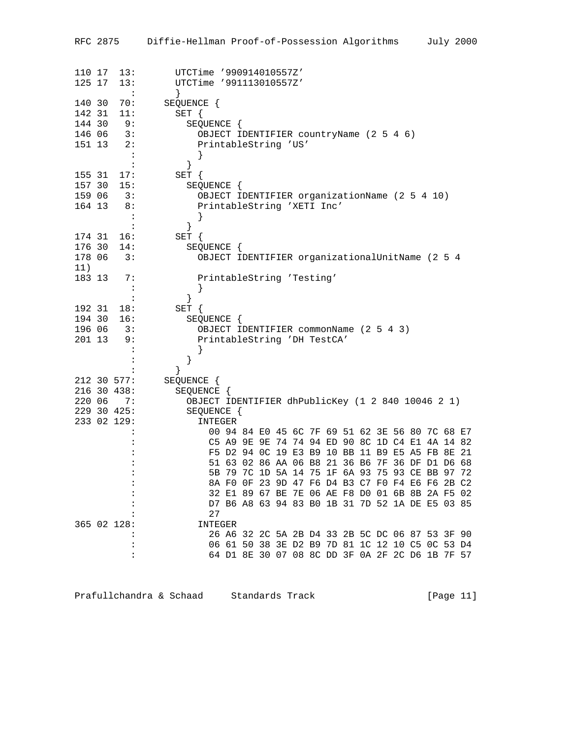|                  | RFC 2875             | Diffie-Hellman Proof-of-Possession Algorithms<br>July 2000                                         |
|------------------|----------------------|----------------------------------------------------------------------------------------------------|
| 110 17<br>125 17 | 13:<br>13:           | UTCTime '990914010557Z'<br>UTCTime '991113010557Z'                                                 |
|                  | $\ddot{\phantom{a}}$ | $\}$                                                                                               |
| 140 30           | 70:                  | SEQUENCE {                                                                                         |
| 142 31<br>144 30 | 11:<br>9:            | $SET \{$                                                                                           |
| 146 06           | 3:                   | SEQUENCE {<br>OBJECT IDENTIFIER countryName (2 5 4 6)                                              |
| 151 13           | 2:                   | PrintableString 'US'                                                                               |
|                  | $\sim$ :             |                                                                                                    |
|                  | $\ddot{\cdot}$       | }                                                                                                  |
| 155 31           | 17:                  | SET {                                                                                              |
| 157 30           | 15:<br>3:            | SEQUENCE {                                                                                         |
| 159 06<br>164 13 | 8:                   | OBJECT IDENTIFIER organizationName (2 5 4 10)<br>PrintableString 'XETI Inc'                        |
|                  | $\colon$             |                                                                                                    |
|                  | $\ddot{\cdot}$       | $\}$                                                                                               |
| 174 31           | 16:                  | $SET \{$                                                                                           |
| 176 30           | 14:                  | SEQUENCE {                                                                                         |
| 178 06           | 3:                   | OBJECT IDENTIFIER organizationalUnitName (2 5 4                                                    |
| 11)<br>183 13    | 7:                   | PrintableString 'Testing'                                                                          |
|                  | $\ddot{\phantom{a}}$ |                                                                                                    |
|                  | $\ddot{\cdot}$       | $\}$                                                                                               |
| 192 31           | 18:                  | SET {                                                                                              |
| 194 30           | 16:                  | SEQUENCE {                                                                                         |
| 196 06<br>201 13 | 3:<br>9:             | OBJECT IDENTIFIER commonName (2 5 4 3)                                                             |
|                  | :                    | PrintableString 'DH TestCA'                                                                        |
|                  |                      | }                                                                                                  |
|                  |                      |                                                                                                    |
|                  | 212 30 577:          | SEQUENCE {                                                                                         |
|                  | 216 30 438:          | SEQUENCE {                                                                                         |
| 220 06           | 7 :<br>229 30 425:   | OBJECT IDENTIFIER dhPublicKey (1 2 840 10046 2 1)<br>SEQUENCE {                                    |
|                  | 233 02 129:          | INTEGER                                                                                            |
|                  |                      | 00 94 84 E0 45 6C 7F 69 51 62 3E 56 80 7C 68 E7                                                    |
|                  |                      | C5 A9 9E 9E 74 74 94 ED 90 8C 1D C4 E1 4A 14 82                                                    |
|                  |                      | F5 D2 94 OC 19 E3 B9 10 BB 11 B9 E5 A5 FB 8E 21                                                    |
|                  |                      | 51 63 02 86 AA 06 B8 21 36 B6 7F 36 DF D1 D6 68                                                    |
|                  |                      | 5B 79 7C 1D 5A 14 75 1F 6A 93 75 93 CE BB 97 72<br>8A FO OF 23 9D 47 F6 D4 B3 C7 F0 F4 E6 F6 2B C2 |
|                  |                      | 32 E1 89 67 BE 7E 06 AE F8 D0 01 6B 8B 2A F5 02                                                    |
|                  |                      | D7 B6 A8 63 94 83 B0 1B 31 7D 52 1A DE E5 03 85                                                    |
|                  |                      | 27                                                                                                 |
|                  | 365 02 128:          | INTEGER                                                                                            |
|                  |                      | 26 A6 32 2C 5A 2B D4 33 2B 5C DC 06 87 53 3F 90<br>06 61 50 38 3E D2 B9 7D 81 1C 12 10 C5 0C 53 D4 |
|                  |                      | 64 D1 8E 30 07 08 8C DD 3F 0A 2F 2C D6 1B 7F 57                                                    |
|                  |                      |                                                                                                    |

Prafullchandra & Schaad Standards Track (Page 11)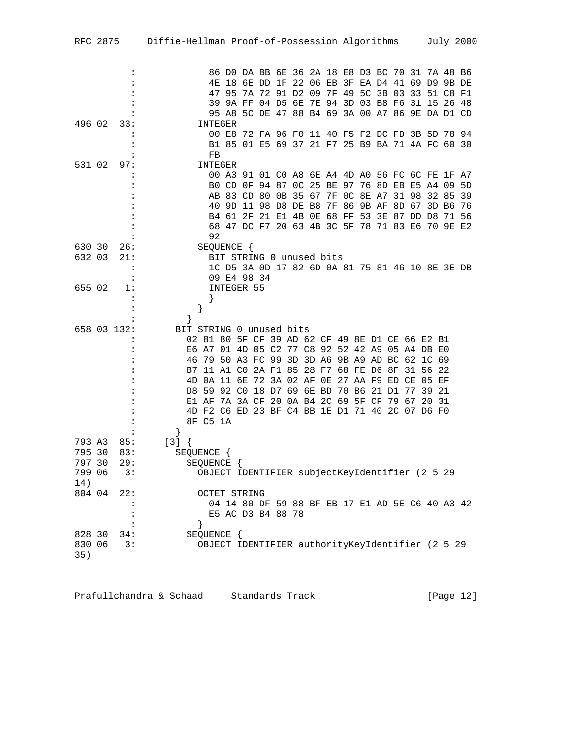| RFC 2875         |                | Diffie-Hellman Proof-of-Possession Algorithms July 2000                                            |
|------------------|----------------|----------------------------------------------------------------------------------------------------|
|                  |                |                                                                                                    |
|                  | $\ddot{\cdot}$ | 86 DO DA BB 6E 36 2A 18 E8 D3 BC 70 31 7A 48 B6                                                    |
|                  |                | 4E 18 6E DD 1F 22 06 EB 3F EA D4 41 69 D9 9B DE                                                    |
|                  |                | 47 95 7A 72 91 D2 09 7F 49 5C 3B 03 33 51 C8 F1                                                    |
|                  |                | 39 9A FF 04 D5 6E 7E 94 3D 03 B8 F6 31 15 26 48                                                    |
|                  |                | 95 A8 5C DE 47 88 B4 69 3A 00 A7 86 9E DA D1 CD                                                    |
| 496 02           | 33:            | INTEGER                                                                                            |
|                  |                | 00 E8 72 FA 96 F0 11 40 F5 F2 DC FD 3B 5D 78 94                                                    |
|                  |                | B1 85 01 E5 69 37 21 F7 25 B9 BA 71 4A FC 60 30                                                    |
| 531 02           | 97:            | FB<br>INTEGER                                                                                      |
|                  |                | 00 A3 91 01 C0 A8 6E A4 4D A0 56 FC 6C FE 1F A7                                                    |
|                  | :              | BO CD OF 94 87 OC 25 BE 97 76 8D EB E5 A4 09 5D                                                    |
|                  |                | AB 83 CD 80 0B 35 67 7F 0C 8E A7 31 98 32 85 39                                                    |
|                  |                | 40 9D 11 98 D8 DE B8 7F 86 9B AF 8D 67 3D B6 76                                                    |
|                  | :              | B4 61 2F 21 E1 4B 0E 68 FF 53 3E 87 DD D8 71 56                                                    |
|                  |                | 68 47 DC F7 20 63 4B 3C 5F 78 71 83 E6 70 9E E2                                                    |
|                  |                | 92                                                                                                 |
| 630 30<br>632 03 | 26:<br>21:     | SEQUENCE {<br>BIT STRING 0 unused bits                                                             |
|                  | $\ddot{\cdot}$ | 1C D5 3A 0D 17 82 6D 0A 81 75 81 46 10 8E 3E DB                                                    |
|                  | $\ddot{\cdot}$ | 09 E4 98 34                                                                                        |
| 655 02           | 1:             | INTEGER 55                                                                                         |
|                  | $\cdot$        | $\left\{ \right\}$                                                                                 |
|                  |                | }                                                                                                  |
|                  |                | ł                                                                                                  |
|                  | 658 03 132:    | BIT STRING 0 unused bits                                                                           |
|                  |                | 02 81 80 5F CF 39 AD 62 CF 49 8E D1 CE 66 E2 B1<br>E6 A7 01 4D 05 C2 77 C8 92 52 42 A9 05 A4 DB E0 |
|                  |                | 46 79 50 A3 FC 99 3D 3D A6 9B A9 AD BC 62 1C 69                                                    |
|                  |                | B7 11 A1 C0 2A F1 85 28 F7 68 FE D6 8F 31 56 22                                                    |
|                  |                | 4D 0A 11 6E 72 3A 02 AF 0E 27 AA F9 ED CE 05 EF                                                    |
|                  |                | D8 59 92 C0 18 D7 69 6E BD 70 B6 21 D1<br>77<br>39 21                                              |
|                  |                | E1 AF 7A 3A CF 20 0A B4 2C 69 5F CF 79 67 20 31                                                    |
|                  |                | 4D F2 C6 ED 23 BF C4 BB 1E D1 71 40 2C 07 D6 F0                                                    |
|                  |                | 8F C5 1A                                                                                           |
| 793 A3           | 85:            | $\left\{ \right\}$<br>$[3]$ {                                                                      |
| 795 30           | 83:            | SEQUENCE {                                                                                         |
| 797 30           | 29:            | SEQUENCE {                                                                                         |
| 799 06           | 3:             | OBJECT IDENTIFIER subjectKeyIdentifier (2 5 29                                                     |
| 14)              |                |                                                                                                    |
| 804 04           | 22:            | <b>OCTET STRING</b>                                                                                |
|                  |                | 04 14 80 DF 59 88 BF EB 17 E1 AD 5E C6 40 A3 42                                                    |
|                  |                | E5 AC D3 B4 88 78                                                                                  |
| 828 30           | $\ddot{\cdot}$ | $\left\{ \right\}$<br>SEQUENCE {                                                                   |
| 830 06           | 34:<br>3:      | OBJECT IDENTIFIER authorityKeyIdentifier (2 5 29                                                   |
| 35)              |                |                                                                                                    |

| Prafullchandra & Schaad |  | Standards Track | [Page $12$ ] |
|-------------------------|--|-----------------|--------------|
|-------------------------|--|-----------------|--------------|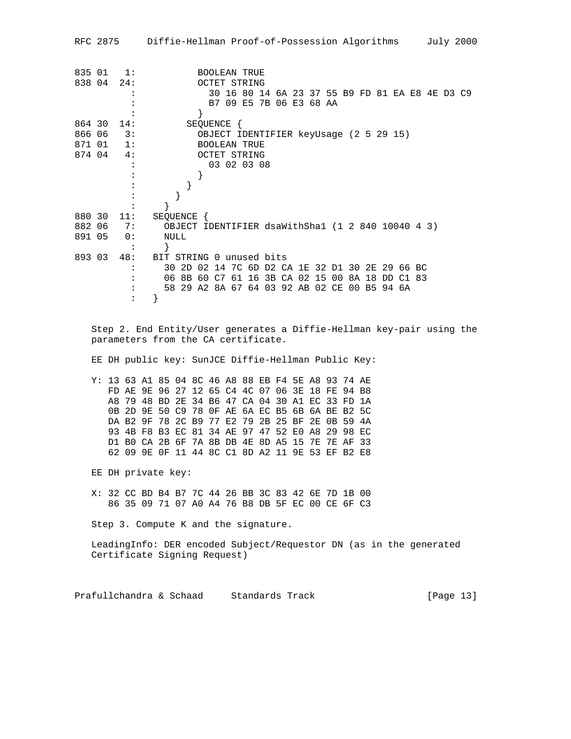RFC 2875 Diffie-Hellman Proof-of-Possession Algorithms July 2000 835 01 1: BOOLEAN TRUE 838 04 24: OCTET STRING<br>20 16 80 14: : 30 16 80 14 6A 23 37 55 B9 FD 81 EA E8 4E D3 C9 : B7 09 E5 7B 06 E3 68 AA  $\begin{array}{ccc} & \cdot & \cdot & \cdot & \cdot \\ \hline \end{array}$ 864 30 14: SEQUENCE { 866 06 3: OBJECT IDENTIFIER keyUsage (2 5 29 15)<br>871 01 1: BOOLEAN TRUE 871 01 1: BOOLEAN TRUE 874 04 4: OCTET STRING : 03 02 03 08 :  $\begin{array}{ccccc} \vdots &&&&\\ & \vdots &&&&\\ & \end{array}$ :<br> <br> <br> <br> <br> <br> <br><br><br><br><br><br><br><br><br><br><br><br><br><br><br><br><br><br> :  $\bar{z}$  : } 880 30 11: SEQUENCE { 882 06 7: OBJECT IDENTIFIER dsaWithSha1 (1 2 840 10040 4 3) 891 05 0: NULL : } 893 03 48: BIT STRING 0 unused bits : 30 2D 02 14 7C 6D D2 CA 1E 32 D1 30 2E 29 66 BC : 06 8B 60 C7 61 16 3B CA 02 15 00 8A 18 DD C1 83 : 58 29 A2 8A 67 64 03 92 AB 02 CE 00 B5 94 6A : } Step 2. End Entity/User generates a Diffie-Hellman key-pair using the parameters from the CA certificate. EE DH public key: SunJCE Diffie-Hellman Public Key: Y: 13 63 A1 85 04 8C 46 A8 88 EB F4 5E A8 93 74 AE FD AE 9E 96 27 12 65 C4 4C 07 06 3E 18 FE 94 B8 A8 79 48 BD 2E 34 B6 47 CA 04 30 A1 EC 33 FD 1A 0B 2D 9E 50 C9 78 0F AE 6A EC B5 6B 6A BE B2 5C DA B2 9F 78 2C B9 77 E2 79 2B 25 BF 2E 0B 59 4A 93 4B F8 B3 EC 81 34 AE 97 47 52 E0 A8 29 98 EC D1 B0 CA 2B 6F 7A 8B DB 4E 8D A5 15 7E 7E AF 33 62 09 9E 0F 11 44 8C C1 8D A2 11 9E 53 EF B2 E8 EE DH private key: X: 32 CC BD B4 B7 7C 44 26 BB 3C 83 42 6E 7D 1B 00 86 35 09 71 07 A0 A4 76 B8 DB 5F EC 00 CE 6F C3 Step 3. Compute K and the signature. LeadingInfo: DER encoded Subject/Requestor DN (as in the generated Certificate Signing Request) Prafullchandra & Schaad Standards Track [Page 13]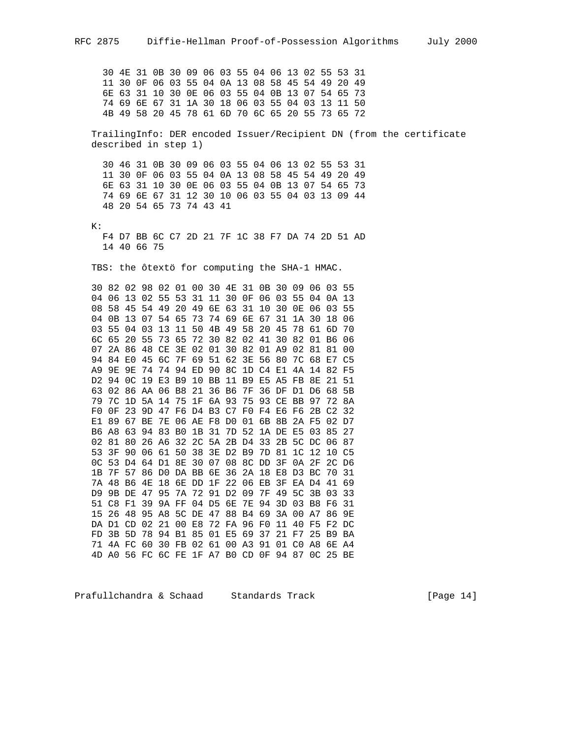30 4E 31 0B 30 09 06 03 55 04 06 13 02 55 53 31 11 30 0F 06 03 55 04 0A 13 08 58 45 54 49 20 49 6E 63 31 10 30 0E 06 03 55 04 0B 13 07 54 65 73 74 69 6E 67 31 1A 30 18 06 03 55 04 03 13 11 50 4B 49 58 20 45 78 61 6D 70 6C 65 20 55 73 65 72 TrailingInfo: DER encoded Issuer/Recipient DN (from the certificate described in step 1) 30 46 31 0B 30 09 06 03 55 04 06 13 02 55 53 31 11 30 0F 06 03 55 04 0A 13 08 58 45 54 49 20 49 6E 63 31 10 30 0E 06 03 55 04 0B 13 07 54 65 73 74 69 6E 67 31 12 30 10 06 03 55 04 03 13 09 44 48 20 54 65 73 74 43 41 K: F4 D7 BB 6C C7 2D 21 7F 1C 38 F7 DA 74 2D 51 AD 14 40 66 75 TBS: the ôtextö for computing the SHA-1 HMAC. 30 82 02 98 02 01 00 30 4E 31 0B 30 09 06 03 55 04 06 13 02 55 53 31 11 30 0F 06 03 55 04 0A 13 08 58 45 54 49 20 49 6E 63 31 10 30 0E 06 03 55 04 0B 13 07 54 65 73 74 69 6E 67 31 1A 30 18 06 03 55 04 03 13 11 50 4B 49 58 20 45 78 61 6D 70 6C 65 20 55 73 65 72 30 82 02 41 30 82 01 B6 06 07 2A 86 48 CE 3E 02 01 30 82 01 A9 02 81 81 00 94 84 E0 45 6C 7F 69 51 62 3E 56 80 7C 68 E7 C5 A9 9E 9E 74 74 94 ED 90 8C 1D C4 E1 4A 14 82 F5 D2 94 0C 19 E3 B9 10 BB 11 B9 E5 A5 FB 8E 21 51 63 02 86 AA 06 B8 21 36 B6 7F 36 DF D1 D6 68 5B 79 7C 1D 5A 14 75 1F 6A 93 75 93 CE BB 97 72 8A F0 0F 23 9D 47 F6 D4 B3 C7 F0 F4 E6 F6 2B C2 32 E1 89 67 BE 7E 06 AE F8 D0 01 6B 8B 2A F5 02 D7 B6 A8 63 94 83 B0 1B 31 7D 52 1A DE E5 03 85 27 02 81 80 26 A6 32 2C 5A 2B D4 33 2B 5C DC 06 87 53 3F 90 06 61 50 38 3E D2 B9 7D 81 1C 12 10 C5 0C 53 D4 64 D1 8E 30 07 08 8C DD 3F 0A 2F 2C D6 1B 7F 57 86 D0 DA BB 6E 36 2A 18 E8 D3 BC 70 31 7A 48 B6 4E 18 6E DD 1F 22 06 EB 3F EA D4 41 69 D9 9B DE 47 95 7A 72 91 D2 09 7F 49 5C 3B 03 33 51 C8 F1 39 9A FF 04 D5 6E 7E 94 3D 03 B8 F6 31 15 26 48 95 A8 5C DE 47 88 B4 69 3A 00 A7 86 9E DA D1 CD 02 21 00 E8 72 FA 96 F0 11 40 F5 F2 DC FD 3B 5D 78 94 B1 85 01 E5 69 37 21 F7 25 B9 BA 71 4A FC 60 30 FB 02 61 00 A3 91 01 C0 A8 6E A4 4D A0 56 FC 6C FE 1F A7 B0 CD 0F 94 87 0C 25 BE

Prafullchandra & Schaad Standards Track [Page 14]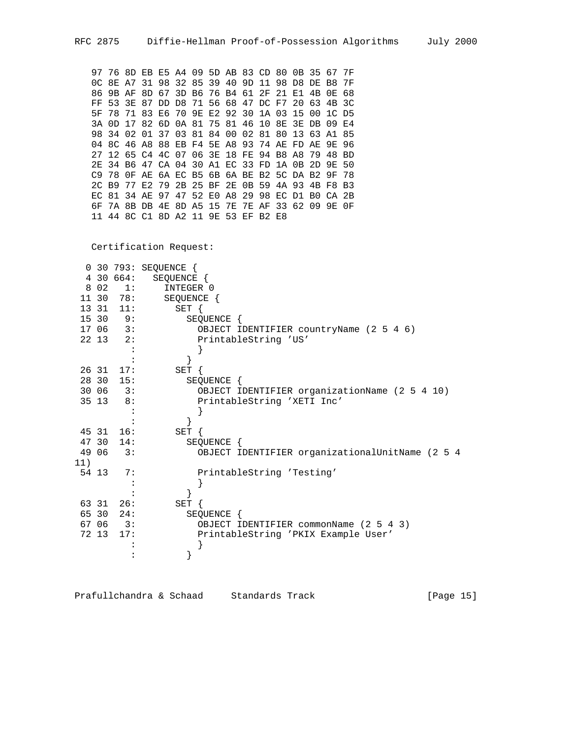97 76 8D EB E5 A4 09 5D AB 83 CD 80 0B 35 67 7F 0C 8E A7 31 98 32 85 39 40 9D 11 98 D8 DE B8 7F 86 9B AF 8D 67 3D B6 76 B4 61 2F 21 E1 4B 0E 68 FF 53 3E 87 DD D8 71 56 68 47 DC F7 20 63 4B 3C 5F 78 71 83 E6 70 9E E2 92 30 1A 03 15 00 1C D5 3A 0D 17 82 6D 0A 81 75 81 46 10 8E 3E DB 09 E4 98 34 02 01 37 03 81 84 00 02 81 80 13 63 A1 85 04 8C 46 A8 88 EB F4 5E A8 93 74 AE FD AE 9E 96 27 12 65 C4 4C 07 06 3E 18 FE 94 B8 A8 79 48 BD 2E 34 B6 47 CA 04 30 A1 EC 33 FD 1A 0B 2D 9E 50 C9 78 0F AE 6A EC B5 6B 6A BE B2 5C DA B2 9F 78 2C B9 77 E2 79 2B 25 BF 2E 0B 59 4A 93 4B F8 B3 EC 81 34 AE 97 47 52 E0 A8 29 98 EC D1 B0 CA 2B 6F 7A 8B DB 4E 8D A5 15 7E 7E AF 33 62 09 9E 0F 11 44 8C C1 8D A2 11 9E 53 EF B2 E8

Certification Request:

|     |       |                | 0 30 793: SEQUENCE {                            |
|-----|-------|----------------|-------------------------------------------------|
|     |       | 4 30 664:      | SEQUENCE {                                      |
|     |       | 8 02 1:        | INTEGER 0                                       |
|     |       | 11 30 78:      | SEQUENCE {                                      |
|     |       | 13 31 11:      | SET {                                           |
|     |       | 15309:         | SEQUENCE {                                      |
|     |       | 17 06 3:       | OBJECT IDENTIFIER countryName (2 5 4 6)         |
|     |       | $22\;13\;2$ :  | PrintableString 'US'                            |
|     |       |                |                                                 |
|     |       |                |                                                 |
|     |       | 26 31 17:      | SET {                                           |
|     | 28 30 | 15:            | SEOUENCE {                                      |
|     |       | 30 06 3:       | OBJECT IDENTIFIER organizationName (2 5 4 10)   |
|     |       | $35 \t13 \t8:$ | PrintableString 'XETI Inc'                      |
|     |       |                |                                                 |
|     |       |                |                                                 |
|     |       | 45 31 16:      | $SET \{$                                        |
|     |       | 47 30 14:      | SEQUENCE {                                      |
|     | 49 06 | 3:             | OBJECT IDENTIFIER organizationalUnitName (2 5 4 |
| 11) |       |                |                                                 |
|     | 54 13 | 7:             | PrintableString 'Testing'                       |
|     |       |                |                                                 |
|     |       |                |                                                 |
|     |       | 63 31 26:      | SET {                                           |
|     |       | 65 30 24:      | SEQUENCE {                                      |
|     |       | 67 06 3:       | OBJECT IDENTIFIER commonName (2 5 4 3)          |
|     | 72 13 | 17:            | PrintableString 'PKIX Example User'             |
|     |       |                |                                                 |
|     |       |                |                                                 |

Prafullchandra & Schaad Standards Track [Page 15]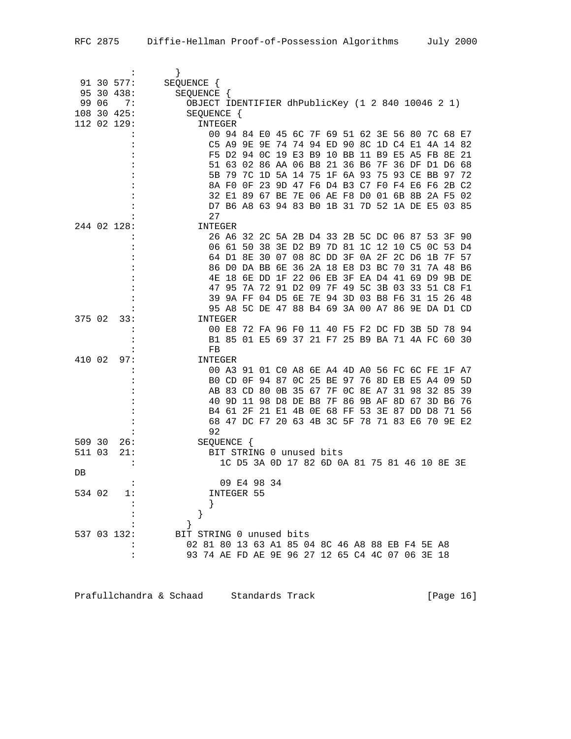|        |       | 91 30 577:  | SEQUENCE {                                        |             |                                        |    |  |  |  |                                                                                           |       |          |          |
|--------|-------|-------------|---------------------------------------------------|-------------|----------------------------------------|----|--|--|--|-------------------------------------------------------------------------------------------|-------|----------|----------|
|        |       | 95 30 438:  | SEQUENCE {                                        |             |                                        |    |  |  |  |                                                                                           |       |          |          |
|        | 99 06 | 7:          | OBJECT IDENTIFIER dhPublicKey (1 2 840 10046 2 1) |             |                                        |    |  |  |  |                                                                                           |       |          |          |
|        |       | 108 30 425: | SEQUENCE {                                        |             |                                        |    |  |  |  |                                                                                           |       |          |          |
|        |       | 112 02 129: | INTEGER                                           |             |                                        |    |  |  |  |                                                                                           |       |          |          |
|        |       |             |                                                   |             |                                        |    |  |  |  | 00 94 84 E0 45 6C 7F 69 51 62 3E 56 80 7C 68 E7                                           |       |          |          |
|        |       |             |                                                   | C5 A9 9E 9E |                                        |    |  |  |  | 74 74 94 ED 90 8C 1D C4 E1 4A 14 82                                                       |       |          |          |
|        |       |             |                                                   |             |                                        |    |  |  |  | F5 D2 94 OC 19 E3 B9 10 BB 11 B9 E5 A5 FB 8E                                              |       |          | 21       |
|        |       |             |                                                   |             |                                        |    |  |  |  | 51 63 02 86 AA 06 B8 21 36 B6 7F 36 DF D1 D6                                              |       |          | 68       |
|        |       |             |                                                   |             |                                        |    |  |  |  | 5B 79 7C 1D 5A 14 75 1F 6A 93 75 93 CE BB 97                                              |       |          | 72       |
|        |       |             |                                                   |             |                                        |    |  |  |  | 8A FO OF 23 9D 47 F6 D4 B3 C7 F0 F4 E6 F6 2B C2                                           |       |          |          |
|        |       |             |                                                   |             |                                        |    |  |  |  | 32 E1 89 67 BE 7E 06 AE F8 D0 01 6B 8B 2A F5 02                                           |       |          |          |
|        |       |             |                                                   |             |                                        |    |  |  |  | D7 B6 A8 63 94 83 B0 1B 31 7D 52 1A DE E5 03 85                                           |       |          |          |
|        |       |             | 27                                                |             |                                        |    |  |  |  |                                                                                           |       |          |          |
|        |       | 244 02 128: | INTEGER                                           |             |                                        |    |  |  |  |                                                                                           |       |          |          |
|        |       |             |                                                   |             |                                        |    |  |  |  | 26 A6 32 2C 5A 2B D4 33 2B 5C DC 06 87 53 3F 90                                           |       |          |          |
|        |       |             |                                                   |             | 06 61 50 38 3E D2 B9 7D 81 1C 12 10 C5 |    |  |  |  |                                                                                           |       | OC 53 D4 |          |
|        |       |             |                                                   |             |                                        |    |  |  |  | 64 D1 8E 30 07 08 8C DD 3F 0A 2F 2C D6 1B                                                 |       | 7F       | 57       |
|        |       |             |                                                   |             | 86 DO DA BB 6E                         |    |  |  |  | 36 2A 18 E8 D3 BC 70 31                                                                   |       | 7A 48 B6 |          |
|        |       |             | 4Ε                                                | 18 6E DD    |                                        | 1F |  |  |  | 22 06 EB 3F EA D4 41 69 D9 9B DE                                                          |       |          |          |
|        |       |             |                                                   |             |                                        |    |  |  |  | 47 95 7A 72 91 D2 09 7F 49 5C 3B 03 33 51 C8 F1                                           |       |          |          |
|        |       |             |                                                   |             |                                        |    |  |  |  | 39 9A FF 04 D5 6E 7E 94 3D 03 B8 F6 31 15 26 48                                           |       |          |          |
|        |       |             |                                                   |             |                                        |    |  |  |  | 95 A8 5C DE 47 88 B4 69 3A 00 A7 86 9E DA D1 CD                                           |       |          |          |
| 375 02 |       | 33:         | INTEGER                                           |             |                                        |    |  |  |  |                                                                                           |       |          |          |
|        |       |             |                                                   |             |                                        |    |  |  |  | 00 E8 72 FA 96 F0 11 40 F5 F2 DC FD 3B 5D 78 94                                           |       |          |          |
|        |       |             |                                                   |             |                                        |    |  |  |  | B1 85 01 E5 69 37 21 F7 25 B9 BA 71 4A FC 60 30                                           |       |          |          |
|        |       |             | FB                                                |             |                                        |    |  |  |  |                                                                                           |       |          |          |
| 410 02 |       | 97:         | INTEGER                                           |             |                                        |    |  |  |  |                                                                                           |       |          |          |
|        |       |             |                                                   |             |                                        |    |  |  |  | 00 A3 91 01 C0 A8 6E A4 4D A0 56 FC 6C FE<br>BO CD OF 94 87 OC 25 BE 97 76 8D EB E5 A4 09 |       | 1F       | A7       |
|        |       |             |                                                   |             | AB 83 CD 80                            |    |  |  |  | 0B 35 67 7F 0C 8E A7 31 98                                                                | 32 85 |          | 5D<br>39 |
|        |       |             |                                                   |             | 40 9D 11 98 D8 DE B8                   |    |  |  |  | 7F 86 9B AF 8D 67 3D B6                                                                   |       |          | 76       |
|        |       |             |                                                   |             |                                        |    |  |  |  | B4 61 2F 21 E1 4B 0E 68 FF 53 3E 87 DD D8                                                 |       | 71       | 56       |
|        |       |             |                                                   |             |                                        |    |  |  |  | 68 47 DC F7 20 63 4B 3C 5F 78 71 83 E6 70 9E E2                                           |       |          |          |
|        |       |             | 92                                                |             |                                        |    |  |  |  |                                                                                           |       |          |          |
| 509 30 |       | 26:         | SEQUENCE {                                        |             |                                        |    |  |  |  |                                                                                           |       |          |          |
| 511 03 |       | 21:         |                                                   |             | BIT STRING 0 unused bits               |    |  |  |  |                                                                                           |       |          |          |
|        |       | :           |                                                   |             |                                        |    |  |  |  | 1C D5 3A OD 17 82 6D OA 81 75 81 46 10 8E 3E                                              |       |          |          |
| DB     |       |             |                                                   |             |                                        |    |  |  |  |                                                                                           |       |          |          |
|        |       | :           |                                                   |             | 09 E4 98 34                            |    |  |  |  |                                                                                           |       |          |          |
| 534 02 |       | 1:          |                                                   | INTEGER 55  |                                        |    |  |  |  |                                                                                           |       |          |          |
|        |       |             |                                                   |             |                                        |    |  |  |  |                                                                                           |       |          |          |
|        |       |             | }                                                 |             |                                        |    |  |  |  |                                                                                           |       |          |          |
|        |       |             |                                                   |             |                                        |    |  |  |  |                                                                                           |       |          |          |
|        |       | 537 03 132: | BIT STRING 0 unused bits                          |             |                                        |    |  |  |  |                                                                                           |       |          |          |
|        |       |             | 02 81 80 13 63 A1 85 04 8C 46 A8 88 EB F4 5E A8   |             |                                        |    |  |  |  |                                                                                           |       |          |          |
|        |       |             | 93 74 AE FD AE 9E 96 27 12 65 C4 4C 07 06 3E 18   |             |                                        |    |  |  |  |                                                                                           |       |          |          |
|        |       |             |                                                   |             |                                        |    |  |  |  |                                                                                           |       |          |          |

Prafullchandra & Schaad Standards Track (Page 16)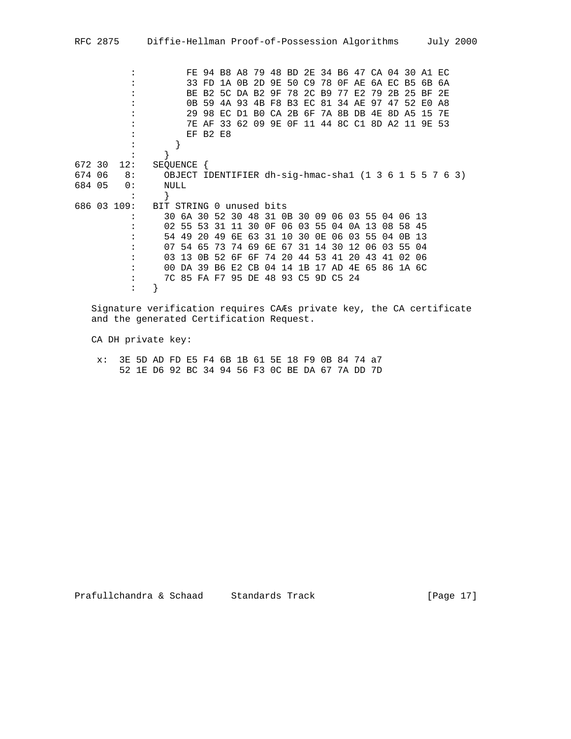: FE 94 B8 A8 79 48 BD 2E 34 B6 47 CA 04 30 A1 EC : 33 FD 1A 0B 2D 9E 50 C9 78 0F AE 6A EC B5 6B 6A : BE B2 5C DA B2 9F 78 2C B9 77 E2 79 2B 25 BF 2E : 0B 59 4A 93 4B F8 B3 EC 81 34 AE 97 47 52 E0 A8 : 29 98 EC D1 B0 CA 2B 6F 7A 8B DB 4E 8D A5 15 7E : 7E AF 33 62 09 9E 0F 11 44 8C C1 8D A2 11 9E 53 : EF B2 E8 : } : } 672 30 12: SEQUENCE { 674 06 8: OBJECT IDENTIFIER dh-sig-hmac-sha1 (1 3 6 1 5 5 7 6 3) 684 05 0:  $\{\cdot\}$  } 686 03 109: BIT STRING 0 unused bits : 30 6A 30 52 30 48 31 0B 30 09 06 03 55 04 06 13 : 02 55 53 31 11 30 0F 06 03 55 04 0A 13 08 58 45 : 54 49 20 49 6E 63 31 10 30 0E 06 03 55 04 0B 13 : 07 54 65 73 74 69 6E 67 31 14 30 12 06 03 55 04 : 03 13 0B 52 6F 6F 74 20 44 53 41 20 43 41 02 06 : 00 DA 39 B6 E2 CB 04 14 1B 17 AD 4E 65 86 1A 6C : 7C 85 FA F7 95 DE 48 93 C5 9D C5 24 : }

 Signature verification requires CAÆs private key, the CA certificate and the generated Certification Request.

CA DH private key:

 x: 3E 5D AD FD E5 F4 6B 1B 61 5E 18 F9 0B 84 74 a7 52 1E D6 92 BC 34 94 56 F3 0C BE DA 67 7A DD 7D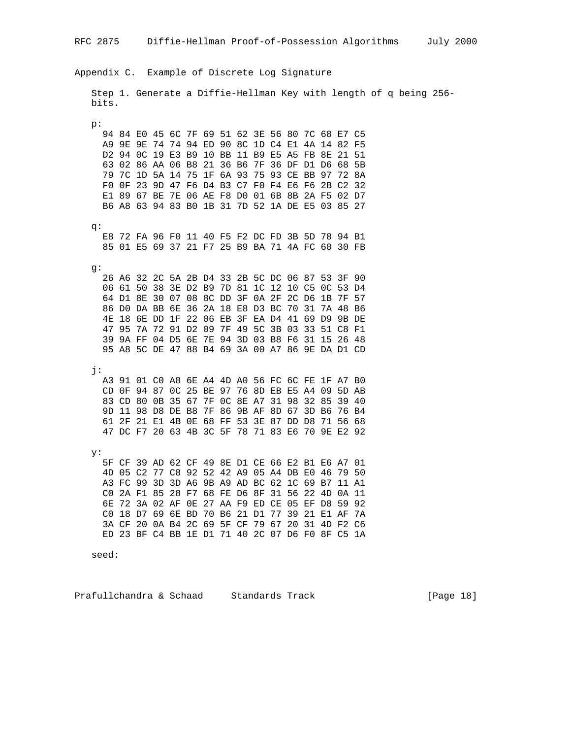Appendix C. Example of Discrete Log Signature Step 1. Generate a Diffie-Hellman Key with length of q being 256 bits. p: 94 84 E0 45 6C 7F 69 51 62 3E 56 80 7C 68 E7 C5 A9 9E 9E 74 74 94 ED 90 8C 1D C4 E1 4A 14 82 F5 D2 94 0C 19 E3 B9 10 BB 11 B9 E5 A5 FB 8E 21 51 63 02 86 AA 06 B8 21 36 B6 7F 36 DF D1 D6 68 5B 79 7C 1D 5A 14 75 1F 6A 93 75 93 CE BB 97 72 8A F0 0F 23 9D 47 F6 D4 B3 C7 F0 F4 E6 F6 2B C2 32 E1 89 67 BE 7E 06 AE F8 D0 01 6B 8B 2A F5 02 D7 B6 A8 63 94 83 B0 1B 31 7D 52 1A DE E5 03 85 27 q: E8 72 FA 96 F0 11 40 F5 F2 DC FD 3B 5D 78 94 B1 85 01 E5 69 37 21 F7 25 B9 BA 71 4A FC 60 30 FB g: 26 A6 32 2C 5A 2B D4 33 2B 5C DC 06 87 53 3F 90 06 61 50 38 3E D2 B9 7D 81 1C 12 10 C5 0C 53 D4 64 D1 8E 30 07 08 8C DD 3F 0A 2F 2C D6 1B 7F 57 86 D0 DA BB 6E 36 2A 18 E8 D3 BC 70 31 7A 48 B6 4E 18 6E DD 1F 22 06 EB 3F EA D4 41 69 D9 9B DE 47 95 7A 72 91 D2 09 7F 49 5C 3B 03 33 51 C8 F1 39 9A FF 04 D5 6E 7E 94 3D 03 B8 F6 31 15 26 48 95 A8 5C DE 47 88 B4 69 3A 00 A7 86 9E DA D1 CD j: A3 91 01 C0 A8 6E A4 4D A0 56 FC 6C FE 1F A7 B0 CD 0F 94 87 0C 25 BE 97 76 8D EB E5 A4 09 5D AB 83 CD 80 0B 35 67 7F 0C 8E A7 31 98 32 85 39 40 9D 11 98 D8 DE B8 7F 86 9B AF 8D 67 3D B6 76 B4 61 2F 21 E1 4B 0E 68 FF 53 3E 87 DD D8 71 56 68 47 DC F7 20 63 4B 3C 5F 78 71 83 E6 70 9E E2 92 y: 5F CF 39 AD 62 CF 49 8E D1 CE 66 E2 B1 E6 A7 01 4D 05 C2 77 C8 92 52 42 A9 05 A4 DB E0 46 79 50 A3 FC 99 3D 3D A6 9B A9 AD BC 62 1C 69 B7 11 A1 C0 2A F1 85 28 F7 68 FE D6 8F 31 56 22 4D 0A 11 6E 72 3A 02 AF 0E 27 AA F9 ED CE 05 EF D8 59 92 C0 18 D7 69 6E BD 70 B6 21 D1 77 39 21 E1 AF 7A 3A CF 20 0A B4 2C 69 5F CF 79 67 20 31 4D F2 C6 ED 23 BF C4 BB 1E D1 71 40 2C 07 D6 F0 8F C5 1A

seed:

Prafullchandra & Schaad Standards Track [Page 18]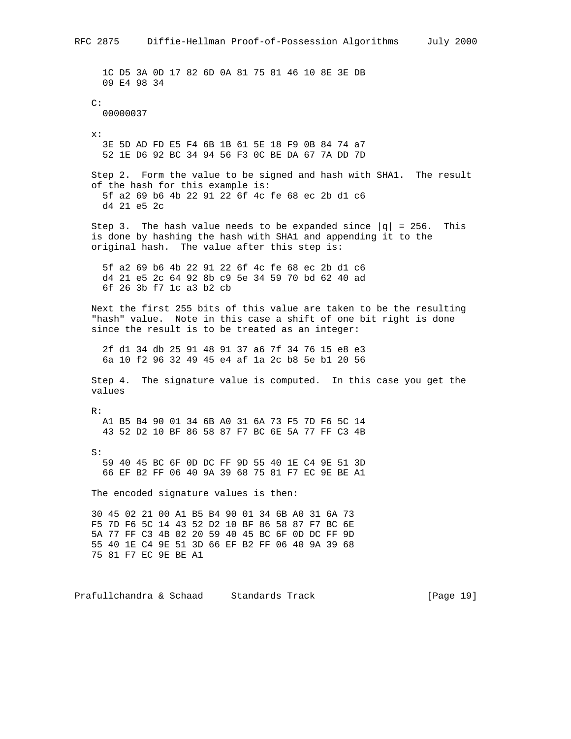1C D5 3A 0D 17 82 6D 0A 81 75 81 46 10 8E 3E DB 09 E4 98 34 C: 00000037 x: 3E 5D AD FD E5 F4 6B 1B 61 5E 18 F9 0B 84 74 a7 52 1E D6 92 BC 34 94 56 F3 0C BE DA 67 7A DD 7D Step 2. Form the value to be signed and hash with SHA1. The result of the hash for this example is: 5f a2 69 b6 4b 22 91 22 6f 4c fe 68 ec 2b d1 c6 d4 21 e5 2c Step 3. The hash value needs to be expanded since  $|q| = 256$ . This is done by hashing the hash with SHA1 and appending it to the original hash. The value after this step is: 5f a2 69 b6 4b 22 91 22 6f 4c fe 68 ec 2b d1 c6 d4 21 e5 2c 64 92 8b c9 5e 34 59 70 bd 62 40 ad 6f 26 3b f7 1c a3 b2 cb Next the first 255 bits of this value are taken to be the resulting "hash" value. Note in this case a shift of one bit right is done since the result is to be treated as an integer: 2f d1 34 db 25 91 48 91 37 a6 7f 34 76 15 e8 e3 6a 10 f2 96 32 49 45 e4 af 1a 2c b8 5e b1 20 56 Step 4. The signature value is computed. In this case you get the values R: A1 B5 B4 90 01 34 6B A0 31 6A 73 F5 7D F6 5C 14 43 52 D2 10 BF 86 58 87 F7 BC 6E 5A 77 FF C3 4B S: 59 40 45 BC 6F 0D DC FF 9D 55 40 1E C4 9E 51 3D 66 EF B2 FF 06 40 9A 39 68 75 81 F7 EC 9E BE A1 The encoded signature values is then: 30 45 02 21 00 A1 B5 B4 90 01 34 6B A0 31 6A 73 F5 7D F6 5C 14 43 52 D2 10 BF 86 58 87 F7 BC 6E 5A 77 FF C3 4B 02 20 59 40 45 BC 6F 0D DC FF 9D 55 40 1E C4 9E 51 3D 66 EF B2 FF 06 40 9A 39 68 75 81 F7 EC 9E BE A1

Prafullchandra & Schaad Standards Track [Page 19]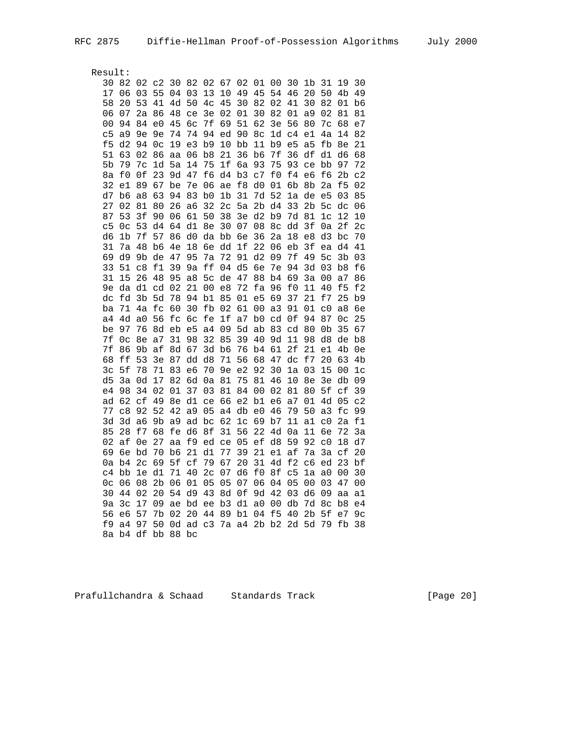Result:

| 30             | 82                   | 02             | c2             | 30             | 82                   | 02                   | 67             | 02                   | 01                   | 00             | 30             | 1 <sub>b</sub> | 31             | 19                   | 30             |
|----------------|----------------------|----------------|----------------|----------------|----------------------|----------------------|----------------|----------------------|----------------------|----------------|----------------|----------------|----------------|----------------------|----------------|
| 17             | 06                   | 03             | 55             | 04             | 03                   | 13                   | 10             | 49                   | 45                   | 54             | 46             | 20             | 50             | 4b                   | 49             |
| 58             | 20                   | 53             | 41             | 4d             | 50                   | 4c                   | 45             | 30                   | 82                   | 02             | 41             | 30             | 82             | 01                   | b6             |
| 06             | 07                   | 2a             | 86             | 48             | ce                   | 3e                   | 02             | 01                   | 30                   | 82             | 01             | a9             | 02             | 81                   | 81             |
| 0 <sub>0</sub> | 94                   | 84             | e <sub>0</sub> | 45             | бc                   | 7f                   | 69             | 51                   | 62                   | 3e             | 56             | 80             | 7c             | 68                   | e7             |
| C <sub>5</sub> | a9                   | 9e             | 9e             | 74             | 74                   | 94                   | ed             | 90                   | 8c                   | 1d             | C <sub>4</sub> | e1             | 4a             | 14                   | 82             |
| f5             | d2                   | 94             | 0 <sub>c</sub> | 19             | e3                   | b9                   | 10             | bb                   | 11                   | b9             | e5             | a5             | fb             | 8e                   | 21             |
| 51             | 63                   | 02             | 86             | aa             | 06                   | b <sub>8</sub>       | 21             | 36                   | b6                   | 7f             | 36             | df             | d1             | d6                   | 68             |
| 5b             | 79                   | 7c             | 1d             | 5a             | 14                   | 75                   | 1f             | ба                   | 93                   | 75             | 93             | ce             | bb             | 97                   | 72             |
| 8a             | £0                   | 0f             | 23             | 9d             | 47                   | f6                   | d4             | b3                   | $\rm c7$             | £0             | £4             | e6             | f6             | 2b                   | C <sub>2</sub> |
| 32             | e1                   | 89             | 67             | be             | 7e                   | 06                   | ae             | f8                   | d0                   | 01             | 6b             | 8b             | 2a             | f <sub>5</sub>       | 02             |
| d7             | b6                   | a8             | 63             | 94             | 83                   | b <sub>0</sub>       | 1 <sub>b</sub> | 31                   | 7d                   | 52             | 1a             | de             | e5             | 03                   | 85             |
| 27             | 02                   | 81             | 80             | 26             | a6                   | 32                   | 2 <sub>c</sub> | 5a                   | 2 <sub>b</sub>       | d4             | 33             | 2b             | 5 <sub>c</sub> | $\rm dc$             | 06             |
| 87             | 53                   | 3f             | 90             | 06             | 61                   | 50                   | 38             | 3e                   | d2                   | b9             | 7d             | 81             | 1 <sub>c</sub> | 12                   | 10             |
| C <sub>5</sub> | 0 <sub>c</sub>       | 53             | d4             | 64             | d1                   | 8e                   | 30             | 07                   | 08                   | 8c             | dd             | 3f             | 0a             | 2f                   | 2 <sub>c</sub> |
| d6             | 1b                   | 7f             | 57             | 86             | d0                   | da                   | bb             | бe                   | 36                   | 2a             | 18             | e8             | d3             | bc                   | 70             |
| 31             | 7a                   | 48             | b6             | 4e             | 18                   | бe                   | dd             | 1f                   | 22                   | 06             | eb             | 3f             | ea             | d4                   | 41             |
| 69             | d9                   | 9b             | de             | 47             | 95                   | 7a                   | 72             | 91                   | d2                   | 09             | 7f             | 49             | 5 <sub>c</sub> | 3b                   | 03             |
| 33             | 51                   | C8             | f1             | 39             | 9a                   | ff                   | 04             | d5                   | бe                   | 7e             | 94             | 3d             | 03             | b8                   | f6             |
| 31             | 15                   | 26             | 48             | 95             | a8                   | 5 <sub>c</sub>       | de             | 47                   | 88                   | b4             | 69             | 3a             | 00             | a7                   | 86             |
| 9e             | da                   | d1             | cd             | 02             | 21                   | 00                   | e8             | 72                   | fa                   | 96             | £0             | 11             | 40             | f5                   | E2             |
| dc             | fd                   | 3 <sub>b</sub> | 5d             | 78             | 94                   | b1                   | 85             | 01                   | e5                   | 69             | 37             | 21             | f7             | 25                   | b9             |
| ba             | 71                   | 4a             | fc             | 60             | 30                   | fb                   | 02             | 61                   | 00                   | a3             | 91             | 01             | c0             | a8                   | бe             |
| a4             | 4d                   | a0<br>76       | 56<br>8d       | fс<br>eb       | бc<br>e <sub>5</sub> | fe<br>a <sub>4</sub> | 1f<br>09       | a <sub>7</sub><br>5d | b <sub>0</sub><br>ab | cd<br>83       | 0f<br>cd       | 94<br>80       | 87<br>0b       | 0 <sub>c</sub><br>35 | 25<br>67       |
| be<br>7f       | 97                   |                | a <sub>7</sub> | 31             | 98                   | 32                   | 85             | 39                   | 40                   | 9d             | 11             | 98             | d8             |                      | b8             |
| 7f             | 0 <sub>c</sub><br>86 | 8e<br>9b       | af             | 8d             | 67                   | 3d                   | b6             | 76                   | b4                   | 61             | 2f             | 21             | e1             | de<br>4b             | 0e             |
| 68             | ff                   | 53             | 3e             | 87             | dd                   | d8                   | 71             | 56                   | 68                   | 47             | dc             | f7             | 20             | 63                   | 4b             |
| 3 <sub>c</sub> | 5f                   | 78             | 71             | 83             | eб                   | 70                   | 9e             | e2                   | 92                   | 30             | 1a             | 03             | 15             | 00                   | 1 <sup>c</sup> |
| d5             | 3a                   | 0d             | 17             | 82             | 6d                   | 0a                   | 81             | 75                   | 81                   | 46             | 10             | 8e             | 3e             | db                   | 09             |
| e4             | 98                   | 34             | 02             | 01             | 37                   | 03                   | 81             | 84                   | 0 <sub>0</sub>       | 02             | 81             | 80             | 5f             | сf                   | 39             |
| ad             | 62                   | сf             | 49             | 8e             | d1                   | ce                   | 66             | e2                   | b1                   | e6             | a <sub>7</sub> | 01             | 4d             | 05                   | c2             |
| 77             | c8                   | 92             | 52             | 42             | a9                   | 05                   | a <sub>4</sub> | db                   | e0                   | 46             | 79             | 50             | a3             | fс                   | 99             |
| 3d             | 3d                   | a6             | 9b             | a <sub>9</sub> | ad                   | bc                   | 62             | 1 <sub>c</sub>       | 69                   | b7             | 11             | a1             | C <sub>0</sub> | 2a                   | f1             |
| 85             | 28                   | f7             | 68             | fe             | d6                   | 8f                   | 31             | 56                   | 22                   | 4d             | 0a             | 11             | бe             | 72                   | 3a             |
| 02             | af                   | 0e             | 27             | aa             | f9                   | ed                   | ce             | 05                   | ef                   | d8             | 59             | 92             | $\rm c_0$      | 18                   | d7             |
| 69             | бe                   | bd             | 70             | b6             | 21                   | d1                   | 77             | 39                   | 21                   | e1             | af             | 7a             | 3a             | сf                   | 20             |
| 0a             | b4                   | 2 <sub>c</sub> | 69             | 5f             | сf                   | 79                   | 67             | 20                   | 31                   | 4d             | £2             | C <sub>6</sub> | ed             | 23                   | bf             |
| c4             | bb                   | 1e             | d1             | 71             | 40                   | 2 <sub>c</sub>       | 07             | d6                   | f0                   | 8f             | C <sub>5</sub> | 1a             | a0             | 00                   | 30             |
| 0 <sub>c</sub> | 06                   | 08             | 2 <sub>b</sub> | 06             | 01                   | 05                   | 05             | 07                   | 06                   | 04             | 05             | 0 <sub>0</sub> | 03             | 47                   | 0 <sub>0</sub> |
| 30             | 44                   | 02             | 20             | 54             | d9                   | 43                   | 8d             | 0f                   | 9d                   | 42             | 03             | d6             | 09             | aa                   | a1             |
| 9a             | 3 <sub>c</sub>       | 17             | 09             | ae             | bd                   | ee                   | b3             | d1                   | a <sub>0</sub>       | $0\,0$         | db             | 7d             | 8 <sub>c</sub> | b8                   | e4             |
| 56             | eб                   | 57             | 7b             | 02             | 20                   | 44                   | 89             | b1                   | 04                   | f <sub>5</sub> | 40             | 2 <sub>b</sub> | 5f             | e7                   | 9с             |
| f9             | a4                   | 97             | 50             | 0d             | ad $c3$              |                      |                | 7a a4                | 2b                   | b2             | 2d             | 5d             | 79             | fb                   | 38             |
| 8a             | b4                   | df             | bb             | 88             | bc                   |                      |                |                      |                      |                |                |                |                |                      |                |

Prafullchandra & Schaad Standards Track [Page 20]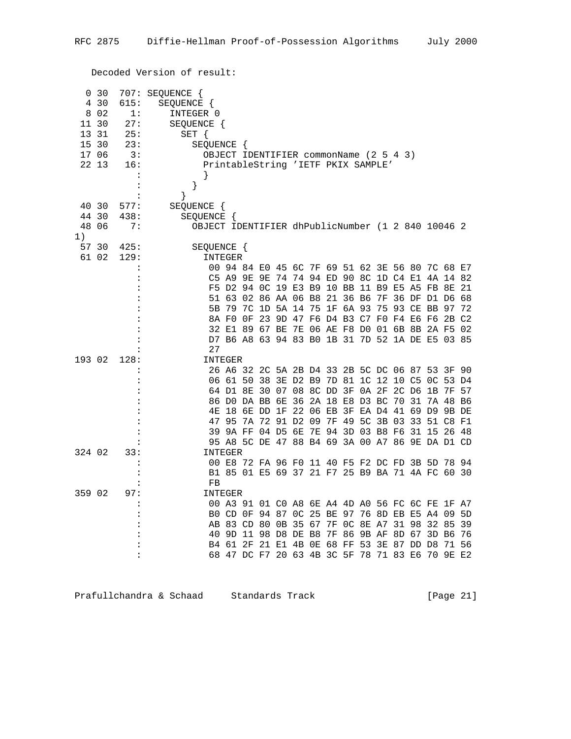Decoded Version of result:

|        | 0 <sub>30</sub> |                      | 707: SEQUENCE                                     |            |                                                 |  |  |  |  |  |  |  |  |                         |                                        |     |
|--------|-----------------|----------------------|---------------------------------------------------|------------|-------------------------------------------------|--|--|--|--|--|--|--|--|-------------------------|----------------------------------------|-----|
|        | 4 30            | 615:                 | SEQUENCE {                                        |            |                                                 |  |  |  |  |  |  |  |  |                         |                                        |     |
|        | 8 0 2           | 1:                   | INTEGER 0                                         |            |                                                 |  |  |  |  |  |  |  |  |                         |                                        |     |
| 11 30  |                 | 27:                  |                                                   | SEQUENCE { |                                                 |  |  |  |  |  |  |  |  |                         |                                        |     |
| 13 31  |                 | 25:                  | $SET \{$                                          |            |                                                 |  |  |  |  |  |  |  |  |                         |                                        |     |
| 15 30  |                 | 23:                  | SEQUENCE {                                        |            |                                                 |  |  |  |  |  |  |  |  |                         |                                        |     |
| 17 06  |                 | 3:                   | OBJECT IDENTIFIER commonName (2 5 4 3)            |            |                                                 |  |  |  |  |  |  |  |  |                         |                                        |     |
| 22 13  |                 | 16:                  | PrintableString 'IETF PKIX SAMPLE'                |            |                                                 |  |  |  |  |  |  |  |  |                         |                                        |     |
|        |                 | $\ddot{\cdot}$       |                                                   |            |                                                 |  |  |  |  |  |  |  |  |                         |                                        |     |
|        |                 | :                    | $\}$                                              |            |                                                 |  |  |  |  |  |  |  |  |                         |                                        |     |
|        |                 | $\ddot{\cdot}$       | ł                                                 |            |                                                 |  |  |  |  |  |  |  |  |                         |                                        |     |
| 40 30  |                 | 577:                 | SEQUENCE {                                        |            |                                                 |  |  |  |  |  |  |  |  |                         |                                        |     |
| 44 30  |                 | 438:                 | SEQUENCE {                                        |            |                                                 |  |  |  |  |  |  |  |  |                         |                                        |     |
| 48 06  |                 | 7:                   | OBJECT IDENTIFIER dhPublicNumber (1 2 840 10046 2 |            |                                                 |  |  |  |  |  |  |  |  |                         |                                        |     |
| 1)     |                 |                      |                                                   |            |                                                 |  |  |  |  |  |  |  |  |                         |                                        |     |
| 57 30  |                 | 425:                 | SEQUENCE {                                        |            |                                                 |  |  |  |  |  |  |  |  |                         |                                        |     |
|        | 61 02           | 129:                 | INTEGER                                           |            |                                                 |  |  |  |  |  |  |  |  |                         |                                        |     |
|        |                 |                      |                                                   |            | 00 94 84 E0 45 6C 7F 69 51 62 3E 56 80 7C 68 E7 |  |  |  |  |  |  |  |  |                         |                                        |     |
|        |                 |                      |                                                   | C5 A9 9E   |                                                 |  |  |  |  |  |  |  |  |                         | 9E 74 74 94 ED 90 8C 1D C4 E1 4A 14 82 |     |
|        |                 | $\ddot{\phantom{a}}$ |                                                   |            | F5 D2 94 OC 19 E3 B9 10 BB 11 B9 E5 A5 FB 8E 21 |  |  |  |  |  |  |  |  |                         |                                        |     |
|        |                 |                      |                                                   |            | 51 63 02 86 AA 06 B8 21 36 B6 7F 36 DF D1 D6 68 |  |  |  |  |  |  |  |  |                         |                                        |     |
|        |                 |                      |                                                   |            | 5B 79 7C 1D 5A 14 75 1F 6A 93 75 93 CE BB 97 72 |  |  |  |  |  |  |  |  |                         |                                        |     |
|        |                 |                      |                                                   |            | 8A FO OF 23 9D 47 F6 D4 B3 C7 F0 F4 E6 F6 2B C2 |  |  |  |  |  |  |  |  |                         |                                        |     |
|        |                 |                      |                                                   |            | 32 E1 89 67 BE 7E 06 AE F8 D0 01 6B 8B 2A F5 02 |  |  |  |  |  |  |  |  |                         |                                        |     |
|        |                 |                      |                                                   |            | D7 B6 A8 63 94 83 B0 1B 31 7D 52 1A DE E5 03 85 |  |  |  |  |  |  |  |  |                         |                                        |     |
|        |                 |                      | 27                                                |            |                                                 |  |  |  |  |  |  |  |  |                         |                                        |     |
| 193 02 |                 | 128:                 | INTEGER                                           |            |                                                 |  |  |  |  |  |  |  |  |                         |                                        |     |
|        |                 |                      |                                                   |            | 26 A6 32 2C 5A 2B D4 33 2B 5C DC 06 87 53 3F 90 |  |  |  |  |  |  |  |  |                         |                                        |     |
|        |                 |                      |                                                   |            | 06 61 50 38 3E D2 B9 7D 81 1C 12 10 C5 0C 53 D4 |  |  |  |  |  |  |  |  |                         |                                        |     |
|        |                 |                      |                                                   |            | 64 D1 8E 30 07 08 8C DD 3F 0A 2F 2C D6 1B 7F 57 |  |  |  |  |  |  |  |  |                         |                                        |     |
|        |                 |                      |                                                   |            | 86 DO DA BB 6E 36 2A 18 E8 D3 BC 70 31          |  |  |  |  |  |  |  |  |                         | 7A 48 B6                               |     |
|        |                 |                      |                                                   |            | 4E 18 6E DD 1F 22 06 EB 3F EA D4 41 69 D9 9B DE |  |  |  |  |  |  |  |  |                         |                                        |     |
|        |                 |                      |                                                   |            | 47 95 7A 72 91 D2 09 7F 49 5C 3B 03 33 51 C8 F1 |  |  |  |  |  |  |  |  |                         |                                        |     |
|        |                 |                      |                                                   |            | 39 9A FF 04 D5 6E 7E 94 3D 03 B8 F6 31 15 26 48 |  |  |  |  |  |  |  |  |                         |                                        |     |
|        |                 |                      |                                                   |            | 95 A8 5C DE 47 88 B4 69 3A 00 A7 86 9E DA D1 CD |  |  |  |  |  |  |  |  |                         |                                        |     |
| 324 02 |                 | 33:                  | INTEGER                                           |            |                                                 |  |  |  |  |  |  |  |  |                         |                                        |     |
|        |                 | $\ddot{\phantom{a}}$ |                                                   |            | 00 E8 72 FA 96 F0 11 40 F5 F2 DC FD 3B 5D 78 94 |  |  |  |  |  |  |  |  |                         |                                        |     |
|        |                 | $\ddot{\cdot}$       |                                                   |            | B1 85 01 E5 69 37 21 F7 25 B9 BA 71 4A FC 60 30 |  |  |  |  |  |  |  |  |                         |                                        |     |
|        |                 |                      | FB                                                |            |                                                 |  |  |  |  |  |  |  |  |                         |                                        |     |
| 359 02 |                 | 97:                  | INTEGER                                           |            |                                                 |  |  |  |  |  |  |  |  |                         |                                        |     |
|        |                 | :                    |                                                   |            | 00 A3 91 01 C0 A8 6E A4 4D A0 56 FC 6C FE 1F A7 |  |  |  |  |  |  |  |  |                         |                                        |     |
|        |                 |                      |                                                   |            | BO CD OF 94 87 OC 25 BE 97 76 8D EB E5 A4 09    |  |  |  |  |  |  |  |  |                         |                                        | 5D  |
|        |                 |                      |                                                   |            | AB 83 CD 80 0B 35 67 7F 0C 8E A7 31 98          |  |  |  |  |  |  |  |  |                         | 32 85 39                               |     |
|        |                 |                      |                                                   |            | 40 9D 11 98 D8 DE B8                            |  |  |  |  |  |  |  |  | 7F 86 9B AF 8D 67 3D B6 |                                        | 76  |
|        |                 |                      |                                                   |            | B4 61 2F 21 E1 4B 0E 68 FF 53 3E 87 DD D8       |  |  |  |  |  |  |  |  |                         | 71                                     | -56 |
|        |                 | :                    |                                                   |            | 68 47 DC F7 20 63 4B 3C 5F 78 71 83 E6 70 9E E2 |  |  |  |  |  |  |  |  |                         |                                        |     |
|        |                 |                      |                                                   |            |                                                 |  |  |  |  |  |  |  |  |                         |                                        |     |

Prafullchandra & Schaad Standards Track [Page 21]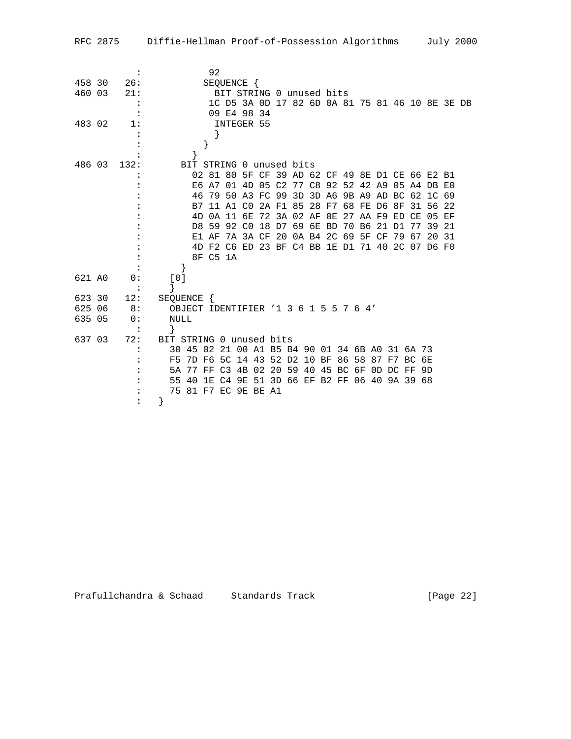| RFC 2875 |  | Diffie-Hellman Proof-of-Possession Algorithms |  | July 2000 |
|----------|--|-----------------------------------------------|--|-----------|
|----------|--|-----------------------------------------------|--|-----------|

|        | $\ddot{\phantom{a}}$ | 92                                                          |
|--------|----------------------|-------------------------------------------------------------|
| 458 30 | 26:                  | SEQUENCE {                                                  |
| 460 03 | 21:                  | BIT STRING 0 unused bits                                    |
|        |                      | 1C D5 3A OD 17 82 6D 0A 81 75 81 46 10 8E 3E DB             |
|        |                      | 09 E4 98 34                                                 |
| 483 02 | 1:                   | INTEGER 55                                                  |
|        |                      |                                                             |
|        |                      |                                                             |
|        |                      |                                                             |
| 486 03 | 132:                 | BIT STRING 0 unused bits                                    |
|        |                      | 02 81 80 5F CF 39 AD 62 CF 49 8E D1 CE 66 E2 B1             |
|        |                      | E6 A7 01 4D 05 C2 77 C8 92 52 42 A9 05 A4 DB E0             |
|        |                      | 46 79 50 A3 FC 99 3D 3D A6 9B A9 AD BC 62 1C 69             |
|        |                      | B7 11 A1 C0 2A F1 85 28 F7 68 FE D6 8F<br>31 56 22          |
|        |                      | 4D 0A 11 6E 72 3A 02 AF 0E 27 AA F9 ED CE 05 EF             |
|        |                      | D8 59 92 C0 18 D7 69 6E BD<br>70 B6<br>21 D1<br>77<br>39 21 |
|        |                      | E1 AF 7A 3A CF 20 0A B4 2C 69 5F CF<br>79 67<br>20 31       |
|        |                      | 4D F2 C6 ED 23 BF C4 BB 1E D1 71 40 2C 07 D6 F0             |
|        |                      | 8F C5 1A                                                    |
|        |                      |                                                             |
| 621 AO | 0:                   | [0]                                                         |
|        |                      | }                                                           |
| 623 30 | 12:                  | SEQUENCE {                                                  |
| 625 06 | 8:                   | OBJECT IDENTIFIER '1 3 6 1 5 5 7 6 4'                       |
| 635 05 | 0:                   | NULL                                                        |
|        |                      | $\mathcal{F}$                                               |
| 637 03 | 72:                  | BIT STRING 0 unused bits                                    |
|        |                      | 30 45 02 21 00 A1 B5 B4 90 01 34 6B A0 31 6A 73             |
|        |                      | 7D F6 5C 14 43 52 D2 10 BF 86 58 87 F7 BC 6E<br>F5.         |
|        |                      | 5A 77 FF C3 4B 02 20 59 40 45 BC 6F 0D DC FF 9D             |
|        |                      | 40 1E C4 9E 51 3D 66 EF B2 FF 06 40 9A 39 68<br>55          |
|        |                      | 75 81 F7 EC 9E BE A1                                        |
|        |                      | ł                                                           |
|        |                      |                                                             |